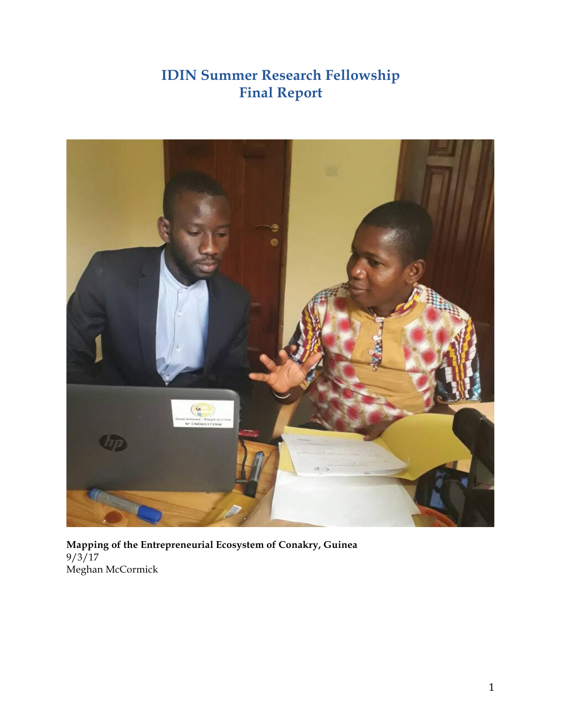# **IDIN Summer Research Fellowship Final Report**



**Mapping of the Entrepreneurial Ecosystem of Conakry, Guinea**  $9/3/17$ Meghan McCormick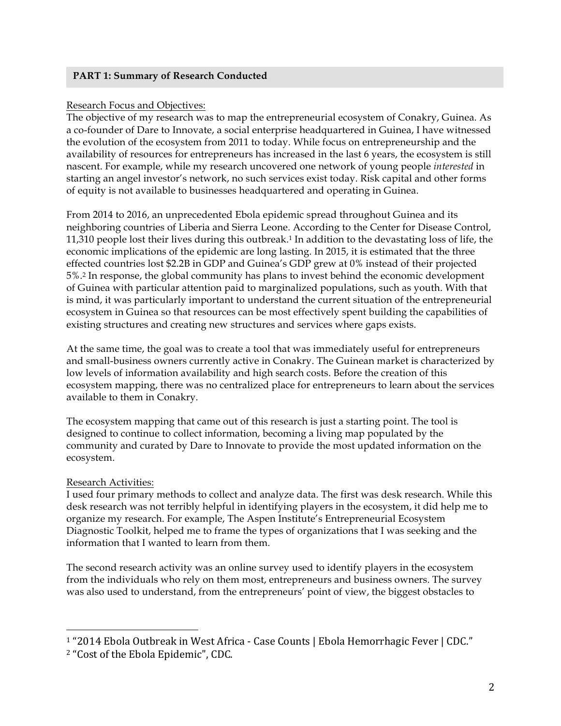## **PART 1: Summary of Research Conducted**

## Research Focus and Objectives:

The objective of my research was to map the entrepreneurial ecosystem of Conakry, Guinea. As a co-founder of Dare to Innovate, a social enterprise headquartered in Guinea, I have witnessed the evolution of the ecosystem from 2011 to today. While focus on entrepreneurship and the availability of resources for entrepreneurs has increased in the last 6 years, the ecosystem is still nascent. For example, while my research uncovered one network of young people *interested* in starting an angel investor's network, no such services exist today. Risk capital and other forms of equity is not available to businesses headquartered and operating in Guinea.

From 2014 to 2016, an unprecedented Ebola epidemic spread throughout Guinea and its neighboring countries of Liberia and Sierra Leone. According to the Center for Disease Control, 11,310 people lost their lives during this outbreak.1 In addition to the devastating loss of life, the economic implications of the epidemic are long lasting. In 2015, it is estimated that the three effected countries lost \$2.2B in GDP and Guinea's GDP grew at 0% instead of their projected 5%.2 In response, the global community has plans to invest behind the economic development of Guinea with particular attention paid to marginalized populations, such as youth. With that is mind, it was particularly important to understand the current situation of the entrepreneurial ecosystem in Guinea so that resources can be most effectively spent building the capabilities of existing structures and creating new structures and services where gaps exists.

At the same time, the goal was to create a tool that was immediately useful for entrepreneurs and small-business owners currently active in Conakry. The Guinean market is characterized by low levels of information availability and high search costs. Before the creation of this ecosystem mapping, there was no centralized place for entrepreneurs to learn about the services available to them in Conakry.

The ecosystem mapping that came out of this research is just a starting point. The tool is designed to continue to collect information, becoming a living map populated by the community and curated by Dare to Innovate to provide the most updated information on the ecosystem.

# Research Activities:

I used four primary methods to collect and analyze data. The first was desk research. While this desk research was not terribly helpful in identifying players in the ecosystem, it did help me to organize my research. For example, The Aspen Institute's Entrepreneurial Ecosystem Diagnostic Toolkit, helped me to frame the types of organizations that I was seeking and the information that I wanted to learn from them.

The second research activity was an online survey used to identify players in the ecosystem from the individuals who rely on them most, entrepreneurs and business owners. The survey was also used to understand, from the entrepreneurs' point of view, the biggest obstacles to

<sup>&</sup>lt;sup>1</sup> "2014 Ebola Outbreak in West Africa - Case Counts | Ebola Hemorrhagic Fever | CDC."

<sup>&</sup>lt;sup>2</sup> "Cost of the Ebola Epidemic", CDC.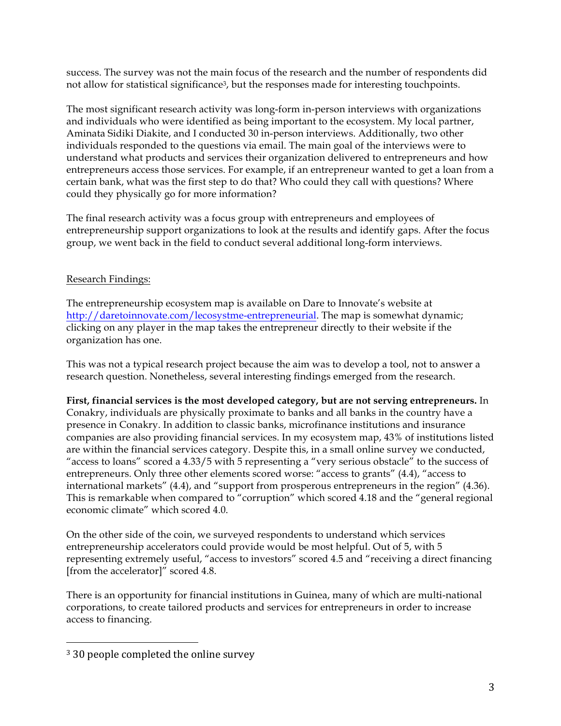success. The survey was not the main focus of the research and the number of respondents did not allow for statistical significance<sup>3</sup>, but the responses made for interesting touchpoints.

The most significant research activity was long-form in-person interviews with organizations and individuals who were identified as being important to the ecosystem. My local partner, Aminata Sidiki Diakite, and I conducted 30 in-person interviews. Additionally, two other individuals responded to the questions via email. The main goal of the interviews were to understand what products and services their organization delivered to entrepreneurs and how entrepreneurs access those services. For example, if an entrepreneur wanted to get a loan from a certain bank, what was the first step to do that? Who could they call with questions? Where could they physically go for more information?

The final research activity was a focus group with entrepreneurs and employees of entrepreneurship support organizations to look at the results and identify gaps. After the focus group, we went back in the field to conduct several additional long-form interviews.

## Research Findings:

The entrepreneurship ecosystem map is available on Dare to Innovate's website at http://daretoinnovate.com/lecosystme-entrepreneurial. The map is somewhat dynamic; clicking on any player in the map takes the entrepreneur directly to their website if the organization has one.

This was not a typical research project because the aim was to develop a tool, not to answer a research question. Nonetheless, several interesting findings emerged from the research.

## **First, financial services is the most developed category, but are not serving entrepreneurs.** In Conakry, individuals are physically proximate to banks and all banks in the country have a presence in Conakry. In addition to classic banks, microfinance institutions and insurance companies are also providing financial services. In my ecosystem map, 43% of institutions listed are within the financial services category. Despite this, in a small online survey we conducted, "access to loans" scored a 4.33/5 with 5 representing a "very serious obstacle" to the success of entrepreneurs. Only three other elements scored worse: "access to grants" (4.4), "access to international markets" (4.4), and "support from prosperous entrepreneurs in the region" (4.36). This is remarkable when compared to "corruption" which scored 4.18 and the "general regional economic climate" which scored 4.0.

On the other side of the coin, we surveyed respondents to understand which services entrepreneurship accelerators could provide would be most helpful. Out of 5, with 5 representing extremely useful, "access to investors" scored 4.5 and "receiving a direct financing [from the accelerator]" scored 4.8.

There is an opportunity for financial institutions in Guinea, many of which are multi-national corporations, to create tailored products and services for entrepreneurs in order to increase access to financing.

<sup>&</sup>lt;sup>3</sup> 30 people completed the online survey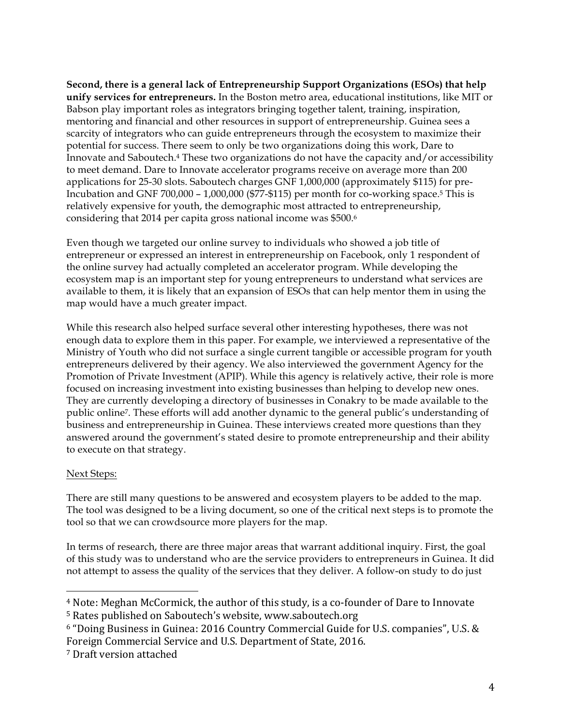**Second, there is a general lack of Entrepreneurship Support Organizations (ESOs) that help unify services for entrepreneurs.** In the Boston metro area, educational institutions, like MIT or Babson play important roles as integrators bringing together talent, training, inspiration, mentoring and financial and other resources in support of entrepreneurship. Guinea sees a scarcity of integrators who can guide entrepreneurs through the ecosystem to maximize their potential for success. There seem to only be two organizations doing this work, Dare to Innovate and Saboutech.4 These two organizations do not have the capacity and/or accessibility to meet demand. Dare to Innovate accelerator programs receive on average more than 200 applications for 25-30 slots. Saboutech charges GNF 1,000,000 (approximately \$115) for pre-Incubation and GNF 700,000 – 1,000,000 (\$77-\$115) per month for co-working space.5 This is relatively expensive for youth, the demographic most attracted to entrepreneurship, considering that 2014 per capita gross national income was \$500.6

Even though we targeted our online survey to individuals who showed a job title of entrepreneur or expressed an interest in entrepreneurship on Facebook, only 1 respondent of the online survey had actually completed an accelerator program. While developing the ecosystem map is an important step for young entrepreneurs to understand what services are available to them, it is likely that an expansion of ESOs that can help mentor them in using the map would have a much greater impact.

While this research also helped surface several other interesting hypotheses, there was not enough data to explore them in this paper. For example, we interviewed a representative of the Ministry of Youth who did not surface a single current tangible or accessible program for youth entrepreneurs delivered by their agency. We also interviewed the government Agency for the Promotion of Private Investment (APIP). While this agency is relatively active, their role is more focused on increasing investment into existing businesses than helping to develop new ones. They are currently developing a directory of businesses in Conakry to be made available to the public online7. These efforts will add another dynamic to the general public's understanding of business and entrepreneurship in Guinea. These interviews created more questions than they answered around the government's stated desire to promote entrepreneurship and their ability to execute on that strategy.

## Next Steps:

There are still many questions to be answered and ecosystem players to be added to the map. The tool was designed to be a living document, so one of the critical next steps is to promote the tool so that we can crowdsource more players for the map.

In terms of research, there are three major areas that warrant additional inquiry. First, the goal of this study was to understand who are the service providers to entrepreneurs in Guinea. It did not attempt to assess the quality of the services that they deliver. A follow-on study to do just

<sup>&</sup>lt;sup>4</sup> Note: Meghan McCormick, the author of this study, is a co-founder of Dare to Innovate

<sup>&</sup>lt;sup>5</sup> Rates published on Saboutech's website, www.saboutech.org

 $6$  "Doing Business in Guinea: 2016 Country Commercial Guide for U.S. companies", U.S. & Foreign Commercial Service and U.S. Department of State, 2016.

<sup>&</sup>lt;sup>7</sup> Draft version attached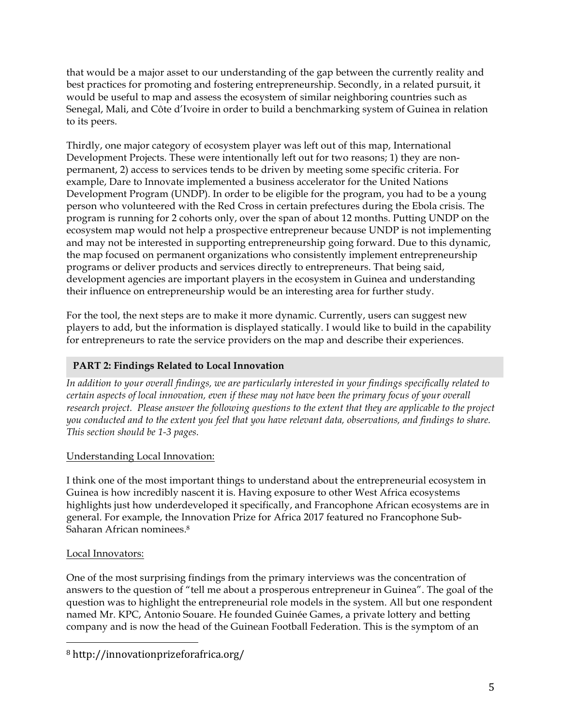that would be a major asset to our understanding of the gap between the currently reality and best practices for promoting and fostering entrepreneurship. Secondly, in a related pursuit, it would be useful to map and assess the ecosystem of similar neighboring countries such as Senegal, Mali, and Côte d'Ivoire in order to build a benchmarking system of Guinea in relation to its peers.

Thirdly, one major category of ecosystem player was left out of this map, International Development Projects. These were intentionally left out for two reasons; 1) they are nonpermanent, 2) access to services tends to be driven by meeting some specific criteria. For example, Dare to Innovate implemented a business accelerator for the United Nations Development Program (UNDP). In order to be eligible for the program, you had to be a young person who volunteered with the Red Cross in certain prefectures during the Ebola crisis. The program is running for 2 cohorts only, over the span of about 12 months. Putting UNDP on the ecosystem map would not help a prospective entrepreneur because UNDP is not implementing and may not be interested in supporting entrepreneurship going forward. Due to this dynamic, the map focused on permanent organizations who consistently implement entrepreneurship programs or deliver products and services directly to entrepreneurs. That being said, development agencies are important players in the ecosystem in Guinea and understanding their influence on entrepreneurship would be an interesting area for further study.

For the tool, the next steps are to make it more dynamic. Currently, users can suggest new players to add, but the information is displayed statically. I would like to build in the capability for entrepreneurs to rate the service providers on the map and describe their experiences.

# **PART 2: Findings Related to Local Innovation**

*In addition to your overall findings, we are particularly interested in your findings specifically related to certain aspects of local innovation, even if these may not have been the primary focus of your overall research project. Please answer the following questions to the extent that they are applicable to the project you conducted and to the extent you feel that you have relevant data, observations, and findings to share. This section should be 1-3 pages.*

# Understanding Local Innovation:

I think one of the most important things to understand about the entrepreneurial ecosystem in Guinea is how incredibly nascent it is. Having exposure to other West Africa ecosystems highlights just how underdeveloped it specifically, and Francophone African ecosystems are in general. For example, the Innovation Prize for Africa 2017 featured no Francophone Sub-Saharan African nominees.8

# Local Innovators:

One of the most surprising findings from the primary interviews was the concentration of answers to the question of "tell me about a prosperous entrepreneur in Guinea". The goal of the question was to highlight the entrepreneurial role models in the system. All but one respondent named Mr. KPC, Antonio Souare. He founded Guinée Games, a private lottery and betting company and is now the head of the Guinean Football Federation. This is the symptom of an

<sup>8</sup> http://innovationprizeforafrica.org/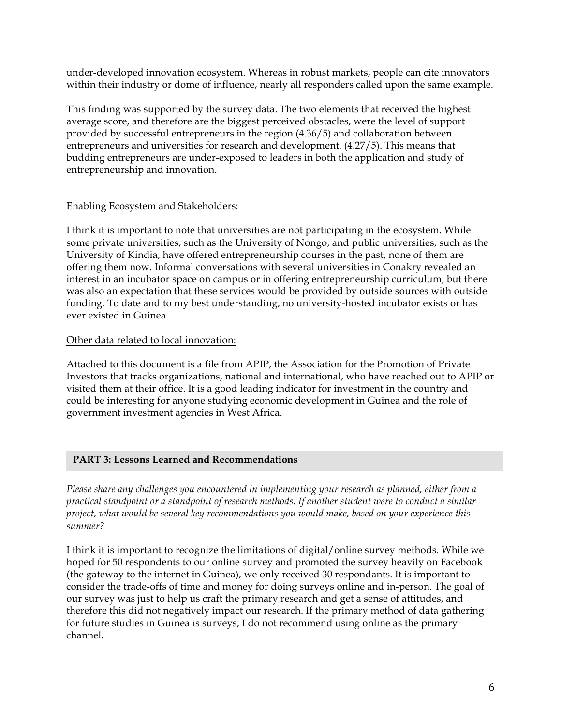under-developed innovation ecosystem. Whereas in robust markets, people can cite innovators within their industry or dome of influence, nearly all responders called upon the same example.

This finding was supported by the survey data. The two elements that received the highest average score, and therefore are the biggest perceived obstacles, were the level of support provided by successful entrepreneurs in the region (4.36/5) and collaboration between entrepreneurs and universities for research and development. (4.27/5). This means that budding entrepreneurs are under-exposed to leaders in both the application and study of entrepreneurship and innovation.

## Enabling Ecosystem and Stakeholders:

I think it is important to note that universities are not participating in the ecosystem. While some private universities, such as the University of Nongo, and public universities, such as the University of Kindia, have offered entrepreneurship courses in the past, none of them are offering them now. Informal conversations with several universities in Conakry revealed an interest in an incubator space on campus or in offering entrepreneurship curriculum, but there was also an expectation that these services would be provided by outside sources with outside funding. To date and to my best understanding, no university-hosted incubator exists or has ever existed in Guinea.

## Other data related to local innovation:

Attached to this document is a file from APIP, the Association for the Promotion of Private Investors that tracks organizations, national and international, who have reached out to APIP or visited them at their office. It is a good leading indicator for investment in the country and could be interesting for anyone studying economic development in Guinea and the role of government investment agencies in West Africa.

# **PART 3: Lessons Learned and Recommendations**

*Please share any challenges you encountered in implementing your research as planned, either from a practical standpoint or a standpoint of research methods. If another student were to conduct a similar project, what would be several key recommendations you would make, based on your experience this summer?* 

I think it is important to recognize the limitations of digital/online survey methods. While we hoped for 50 respondents to our online survey and promoted the survey heavily on Facebook (the gateway to the internet in Guinea), we only received 30 respondants. It is important to consider the trade-offs of time and money for doing surveys online and in-person. The goal of our survey was just to help us craft the primary research and get a sense of attitudes, and therefore this did not negatively impact our research. If the primary method of data gathering for future studies in Guinea is surveys, I do not recommend using online as the primary channel.